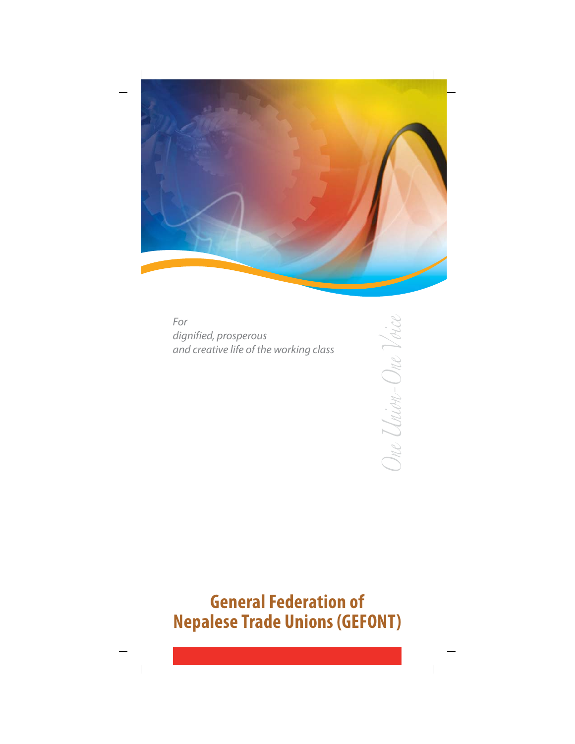

For dignified, prosperous and creative life of the working class

# **General Federation of Nepalese Trade Unions (GEFONT)**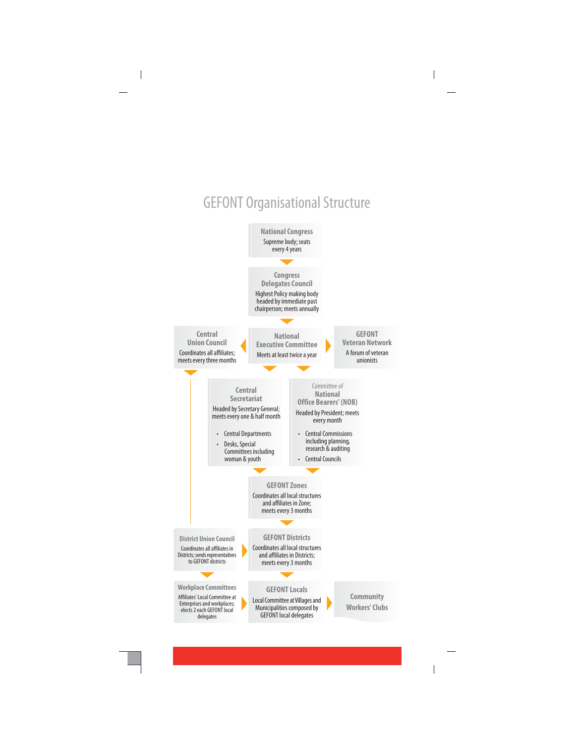## **GEFONT Organisational Structure**

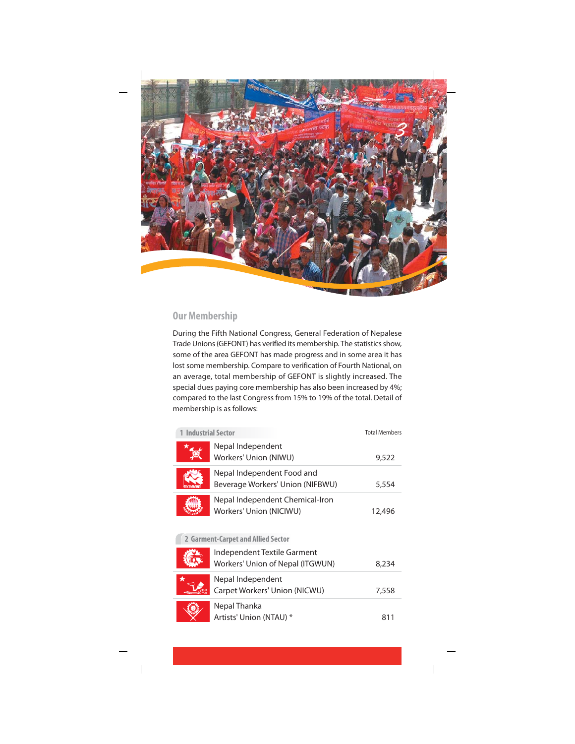

## **Our Membership**

During the Fifth National Congress, General Federation of Nepalese Trade Unions (GEFONT) has verified its membership. The statistics show, some of the area GEFONT has made progress and in some area it has lost some membership. Compare to verification of Fourth National, on an average, total membership of GEFONT is slightly increased. The special dues paying core membership has also been increased by 4%; compared to the last Congress from 15% to 19% of the total. Detail of membership is as follows:

| <b>1 Industrial Sector</b>         |                                                                 | <b>Total Members</b> |
|------------------------------------|-----------------------------------------------------------------|----------------------|
|                                    | Nepal Independent<br>Workers' Union (NIWU)                      | 9,522                |
|                                    | Nepal Independent Food and<br>Beverage Workers' Union (NIFBWU)  | 5,554                |
|                                    | Nepal Independent Chemical-Iron<br>Workers' Union (NICIWU)      | 12,496               |
| 2 Garment-Carpet and Allied Sector |                                                                 |                      |
|                                    | Independent Textile Garment<br>Workers' Union of Nepal (ITGWUN) | 8,234                |
| ★                                  | Nepal Independent<br>Carpet Workers' Union (NICWU)              | 7,558                |
|                                    | Nepal Thanka<br>Artists' Union (NTAU) *                         | 811                  |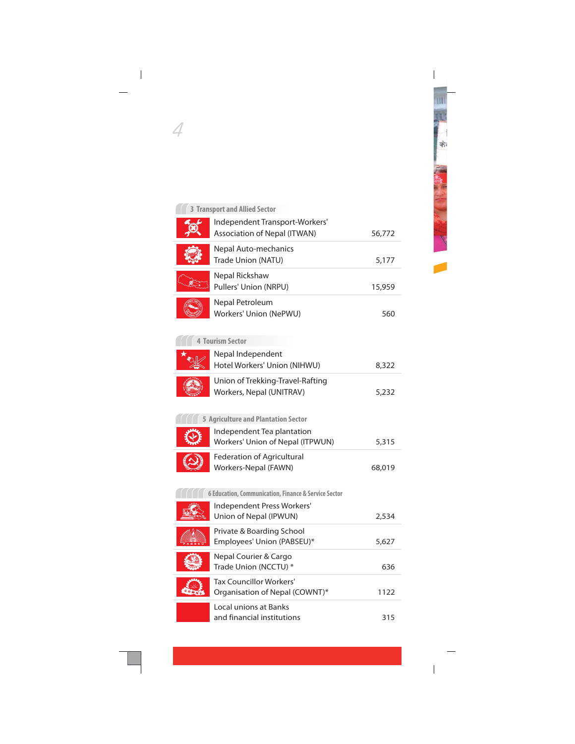## 3 Transport and Allied Sector

4

| Independent Transport-Workers'<br>Association of Nepal (ITWAN) | 56,772 |
|----------------------------------------------------------------|--------|
|                                                                |        |
| Nepal Auto-mechanics<br>Trade Union (NATU)                     | 5,177  |
| Nepal Rickshaw<br>Pullers' Union (NRPU)                        | 15,959 |
| Nepal Petroleum<br>Workers' Union (NePWU)                      | 560    |
| <b>4 Tourism Sector</b>                                        |        |
| Nepal Independent<br>Hotel Workers' Union (NIHWU)              | 8,322  |
| Union of Trekking-Travel-Rafting<br>Workers, Nepal (UNITRAV)   | 5,232  |
| <b>5 Agriculture and Plantation Sector</b>                     |        |
| Independent Tea plantation<br>Workers' Union of Nepal (ITPWUN) | 5,315  |
| <b>Federation of Agricultural</b><br>Workers-Nepal (FAWN)      | 68,019 |
| 6 Education, Communication, Finance & Service Sector           |        |
| Independent Press Workers'<br>Union of Nepal (IPWUN)           | 2,534  |
| Private & Boarding School<br>Employees' Union (PABSEU)*        | 5,627  |
| Nepal Courier & Cargo<br>Trade Union (NCCTU) *                 | 636    |
| Tax Councillor Workers'<br>Organisation of Nepal (COWNT)*      | 1122   |
| Local unions at Banks<br>and financial institutions            | 315    |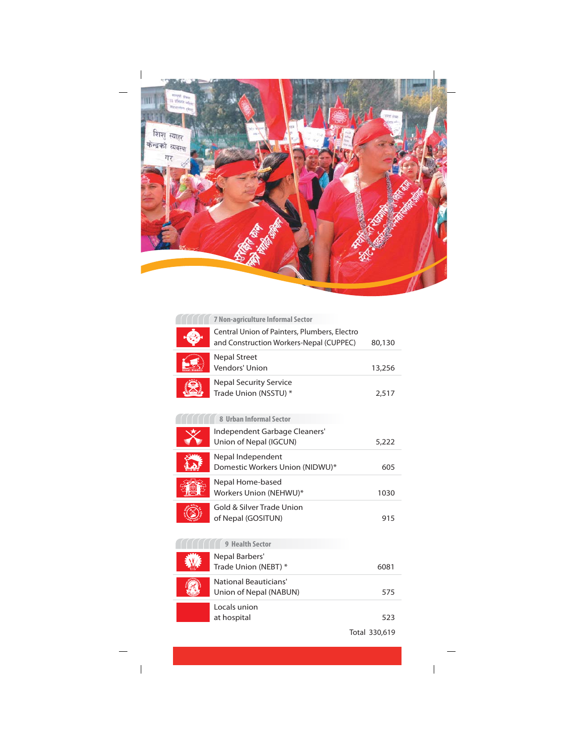

| 7 Non-agriculture Informal Sector                                                       |        |
|-----------------------------------------------------------------------------------------|--------|
| Central Union of Painters, Plumbers, Electro<br>and Construction Workers-Nepal (CUPPEC) | 80,130 |
| <b>Nepal Street</b><br>Vendors' Union                                                   | 13,256 |
| <b>Nepal Security Service</b><br>Trade Union (NSSTU) *                                  | 2,517  |
| 8 Urban Informal Sector                                                                 |        |
| Independent Garbage Cleaners'<br>Union of Nepal (IGCUN)                                 | 5,222  |
| Nepal Independent<br>Domestic Workers Union (NIDWU)*                                    | 605    |
| Nepal Home-based<br>Workers Union (NEHWU)*                                              | 1030   |
| Gold & Silver Trade Union<br>of Nepal (GOSITUN)                                         | 915    |
| 9 Health Sector                                                                         |        |
| Nepal Barbers'<br>Trade Union (NEBT) *                                                  | 6081   |
| National Beauticians'<br>Union of Nepal (NABUN)                                         | 575    |
| Locals union<br>at hospital                                                             | 523    |

Total 330,619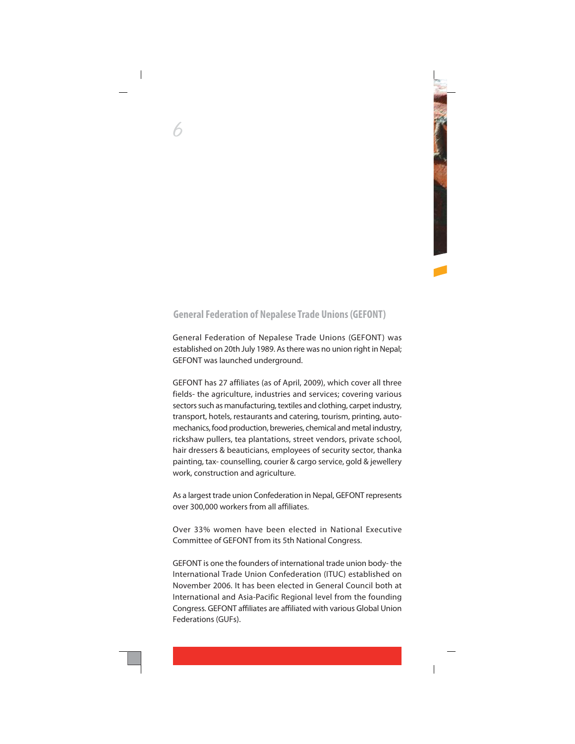## **General Federation of Nepalese Trade Unions (GEFONT)**

General Federation of Nepalese Trade Unions (GEFONT) was established on 20th July 1989. As there was no union right in Nepal; GEFONT was launched underground.

GEFONT has 27 affiliates (as of April, 2009), which cover all three fields- the agriculture, industries and services; covering various sectors such as manufacturing, textiles and clothing, carpet industry, transport, hotels, restaurants and catering, tourism, printing, automechanics, food production, breweries, chemical and metal industry, rickshaw pullers, tea plantations, street vendors, private school, hair dressers & beauticians, employees of security sector, thanka painting, tax-counselling, courier & cargo service, gold & jewellery work, construction and agriculture.

As a largest trade union Confederation in Nepal, GEFONT represents over 300,000 workers from all affiliates.

Over 33% women have been elected in National Executive Committee of GEFONT from its 5th National Congress.

GEFONT is one the founders of international trade union body-the International Trade Union Confederation (ITUC) established on November 2006. It has been elected in General Council both at International and Asia-Pacific Regional level from the founding Congress. GEFONT affiliates are affiliated with various Global Union Federations (GUFs).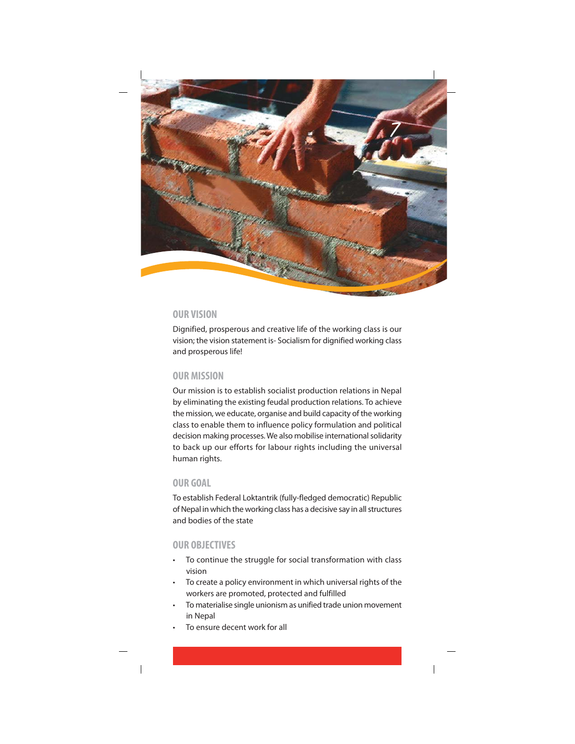

## **OUR VISION**

Dignified, prosperous and creative life of the working class is our vision; the vision statement is-Socialism for dignified working class and prosperous life!

## **OUR MISSION**

Our mission is to establish socialist production relations in Nepal by eliminating the existing feudal production relations. To achieve the mission, we educate, organise and build capacity of the working class to enable them to influence policy formulation and political decision making processes. We also mobilise international solidarity to back up our efforts for labour rights including the universal human rights.

## OUR GOAL

To establish Federal Loktantrik (fully-fledged democratic) Republic of Nepal in which the working class has a decisive say in all structures and bodies of the state

## **OUR OBJECTIVES**

- To continue the struggle for social transformation with class vision
- To create a policy environment in which universal rights of the workers are promoted, protected and fulfilled
- To materialise single unionism as unified trade union movement in Nepal
- To ensure decent work for all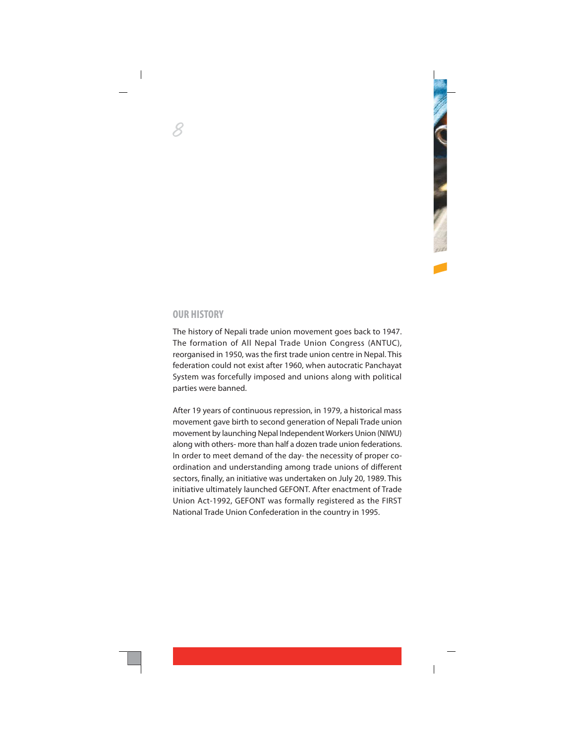#### **OUR HISTORY**

The history of Nepali trade union movement goes back to 1947. The formation of All Nepal Trade Union Congress (ANTUC), reorganised in 1950, was the first trade union centre in Nepal. This federation could not exist after 1960, when autocratic Panchayat System was forcefully imposed and unions along with political parties were banned.

After 19 years of continuous repression, in 1979, a historical mass movement gave birth to second generation of Nepali Trade union movement by launching Nepal Independent Workers Union (NIWU) along with others- more than half a dozen trade union federations. In order to meet demand of the day- the necessity of proper coordination and understanding among trade unions of different sectors, finally, an initiative was undertaken on July 20, 1989. This initiative ultimately launched GEFONT. After enactment of Trade Union Act-1992, GEFONT was formally registered as the FIRST National Trade Union Confederation in the country in 1995.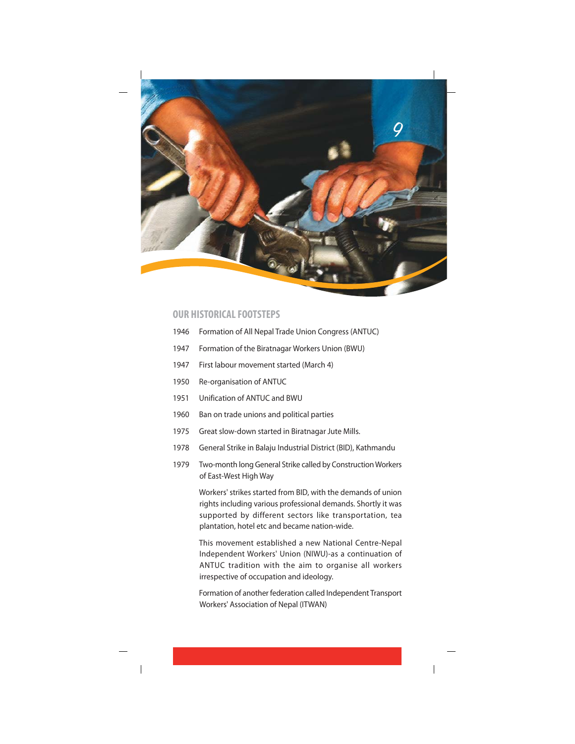

### **OUR HISTORICAL FOOTSTEPS**

- 1946 Formation of All Nepal Trade Union Congress (ANTUC)
- 1947 Formation of the Biratnagar Workers Union (BWU)
- 1947 First labour movement started (March 4)
- 1950 Re-organisation of ANTUC
- 1951 Unification of ANTUC and BWU
- 1960 Ban on trade unions and political parties
- 1975 Great slow-down started in Biratnagar Jute Mills.
- 1978 General Strike in Balaju Industrial District (BID), Kathmandu
- 1979 Two-month long General Strike called by Construction Workers of East-West High Way

Workers' strikes started from BID, with the demands of union rights including various professional demands. Shortly it was supported by different sectors like transportation, tea plantation, hotel etc and became nation-wide.

This movement established a new National Centre-Nepal Independent Workers' Union (NIWU)-as a continuation of ANTUC tradition with the aim to organise all workers irrespective of occupation and ideology.

Formation of another federation called Independent Transport Workers' Association of Nepal (ITWAN)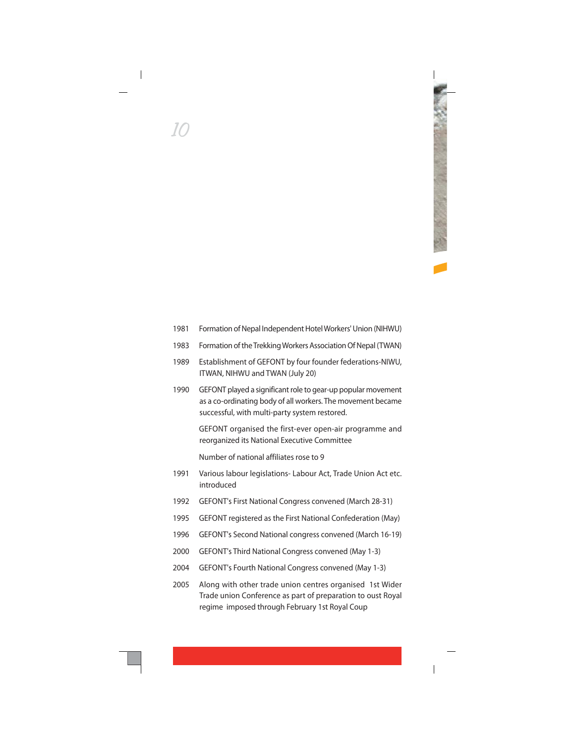- 1981 Formation of Nepal Independent Hotel Workers' Union (NIHWU)
- Formation of the Trekking Workers Association Of Nepal (TWAN) 1983
- Establishment of GEFONT by four founder federations-NIWU, 1989 ITWAN, NIHWU and TWAN (July 20)
- 1990 GEFONT played a significant role to gear-up popular movement as a co-ordinating body of all workers. The movement became successful, with multi-party system restored.

GEFONT organised the first-ever open-air programme and reorganized its National Executive Committee

Number of national affiliates rose to 9

- 1991 Various labour legislations- Labour Act, Trade Union Act etc. introduced
- GEFONT's First National Congress convened (March 28-31) 1992
- GEFONT registered as the First National Confederation (May) 1995
- GEFONT's Second National congress convened (March 16-19) 1996
- GEFONT's Third National Congress convened (May 1-3) 2000
- GEFONT's Fourth National Congress convened (May 1-3) 2004
- 2005 Along with other trade union centres organised 1st Wider Trade union Conference as part of preparation to oust Royal regime imposed through February 1st Royal Coup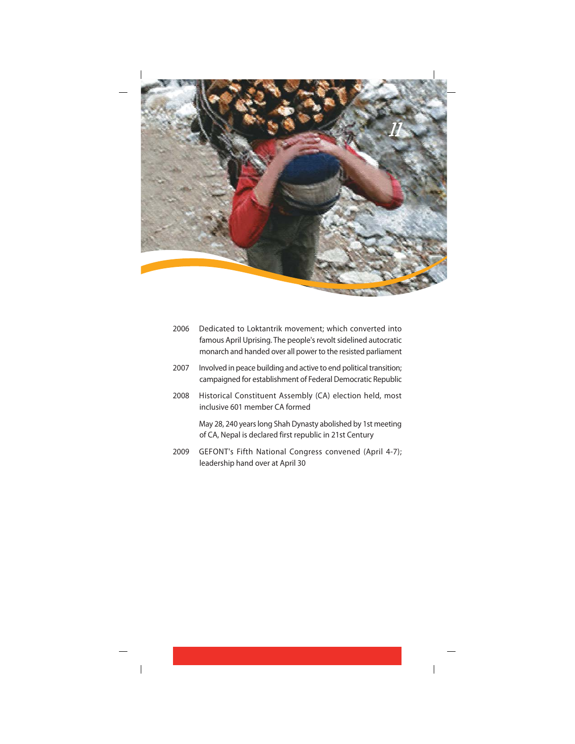

| 2006 | Dedicated to Loktantrik movement; which converted into<br>famous April Uprising. The people's revolt sidelined autocratic<br>monarch and handed over all power to the resisted parliament |
|------|-------------------------------------------------------------------------------------------------------------------------------------------------------------------------------------------|
| 2007 | Involved in peace building and active to end political transition;<br>campaigned for establishment of Federal Democratic Republic                                                         |
| 2008 | Historical Constituent Assembly (CA) election held, most<br>inclusive 601 member CA formed                                                                                                |
|      | May 28, 240 years long Shah Dynasty abolished by 1st meeting<br>of CA, Nepal is declared first republic in 21st Century                                                                   |
| 2009 | GEFONT's Fifth National Congress convened (April 4-7);<br>leadership hand over at April 30                                                                                                |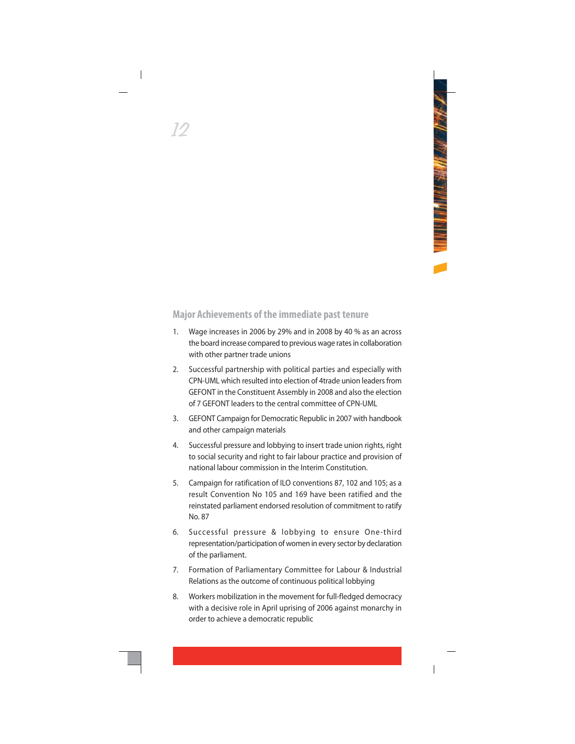## **Major Achievements of the immediate past tenure**

- Wage increases in 2006 by 29% and in 2008 by 40 % as an across  $1$ the board increase compared to previous wage rates in collaboration with other partner trade unions
- Successful partnership with political parties and especially with  $2.$ CPN-UML which resulted into election of 4trade union leaders from GEFONT in the Constituent Assembly in 2008 and also the election of 7 GEFONT leaders to the central committee of CPN-UML
- 3. GEFONT Campaign for Democratic Republic in 2007 with handbook and other campaign materials
- Successful pressure and lobbying to insert trade union rights, right  $4.$ to social security and right to fair labour practice and provision of national labour commission in the Interim Constitution
- Campaign for ratification of ILO conventions 87, 102 and 105; as a  $5<sub>1</sub>$ result Convention No 105 and 169 have been ratified and the reinstated parliament endorsed resolution of commitment to ratify No. 87
- Successful pressure & lobbying to ensure One-third 6. representation/participation of women in every sector by declaration of the parliament.
- 7. Formation of Parliamentary Committee for Labour & Industrial Relations as the outcome of continuous political lobbying
- $\mathsf{R}$ Workers mobilization in the movement for full-fledged democracy with a decisive role in April uprising of 2006 against monarchy in order to achieve a democratic republic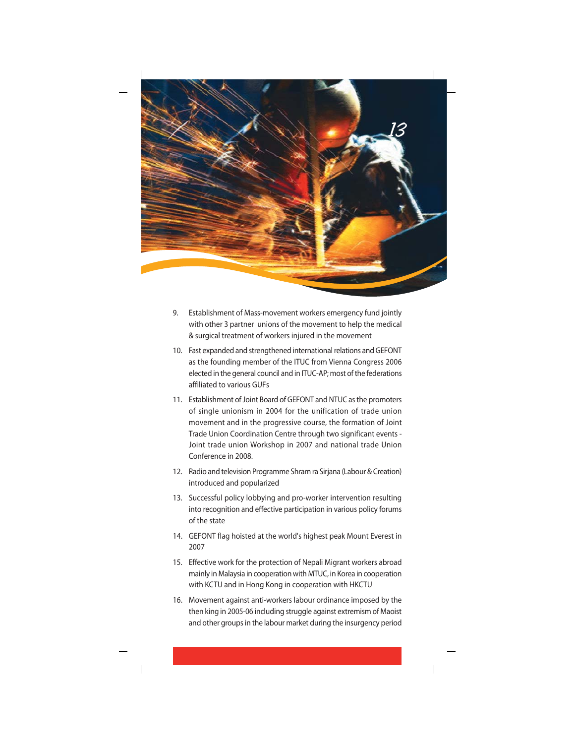

- 9. Establishment of Mass-movement workers emergency fund jointly with other 3 partner unions of the movement to help the medical & surgical treatment of workers injured in the movement
- 10. Fast expanded and strengthened international relations and GEFONT as the founding member of the ITUC from Vienna Congress 2006 elected in the general council and in ITUC-AP; most of the federations affiliated to various GUEs
- 11. Establishment of Joint Board of GEFONT and NTUC as the promoters of single unionism in 2004 for the unification of trade union movement and in the progressive course, the formation of Joint Trade Union Coordination Centre through two significant events -Joint trade union Workshop in 2007 and national trade Union Conference in 2008.
- 12. Radio and television Programme Shram ra Sirjana (Labour & Creation) introduced and popularized
- 13. Successful policy lobbying and pro-worker intervention resulting into recognition and effective participation in various policy forums of the state
- 14. GEFONT flag hoisted at the world's highest peak Mount Everest in 2007
- 15. Effective work for the protection of Nepali Migrant workers abroad mainly in Malaysia in cooperation with MTUC, in Korea in cooperation with KCTU and in Hong Kong in cooperation with HKCTU
- 16. Movement against anti-workers labour ordinance imposed by the then king in 2005-06 including struggle against extremism of Maoist and other groups in the labour market during the insurgency period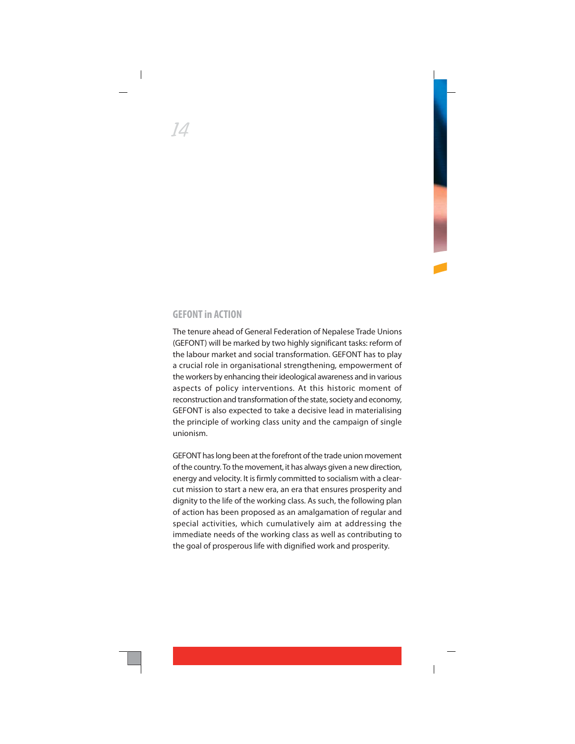## **GFFONT in ACTION**

The tenure ahead of General Federation of Nepalese Trade Unions (GEFONT) will be marked by two highly significant tasks: reform of the labour market and social transformation. GEFONT has to play a crucial role in organisational strengthening, empowerment of the workers by enhancing their ideological awareness and in various aspects of policy interventions. At this historic moment of reconstruction and transformation of the state, society and economy, GEFONT is also expected to take a decisive lead in materialising the principle of working class unity and the campaign of single  $unionism$ 

GEFONT has long been at the forefront of the trade union movement of the country. To the movement, it has always given a new direction, energy and velocity. It is firmly committed to socialism with a clearcut mission to start a new era, an era that ensures prosperity and dignity to the life of the working class. As such, the following plan of action has been proposed as an amalgamation of regular and special activities, which cumulatively aim at addressing the immediate needs of the working class as well as contributing to the goal of prosperous life with dignified work and prosperity.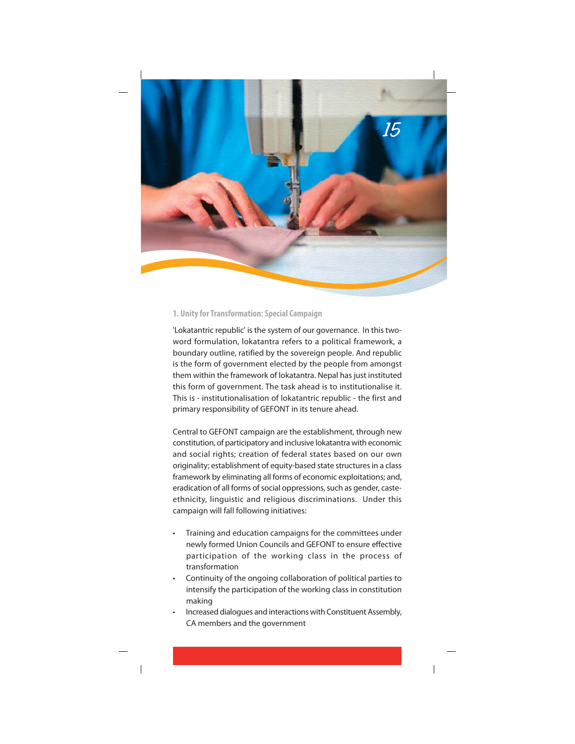

#### 1. Unity for Transformation: Special Campaign

'Lokatantric republic' is the system of our governance. In this twoword formulation, lokatantra refers to a political framework, a boundary outline, ratified by the sovereign people. And republic is the form of government elected by the people from amongst them within the framework of lokatantra. Nepal has just instituted this form of government. The task ahead is to institutionalise it. This is - institutionalisation of lokatantric republic - the first and primary responsibility of GEFONT in its tenure ahead.

Central to GEFONT campaign are the establishment, through new constitution, of participatory and inclusive lokatantra with economic and social rights; creation of federal states based on our own originality; establishment of equity-based state structures in a class framework by eliminating all forms of economic exploitations; and, eradication of all forms of social oppressions, such as gender, casteethnicity, linguistic and religious discriminations. Under this campaign will fall following initiatives:

- Training and education campaigns for the committees under newly formed Union Councils and GEFONT to ensure effective participation of the working class in the process of transformation
- Continuity of the ongoing collaboration of political parties to intensify the participation of the working class in constitution making
- Increased dialogues and interactions with Constituent Assembly, CA members and the government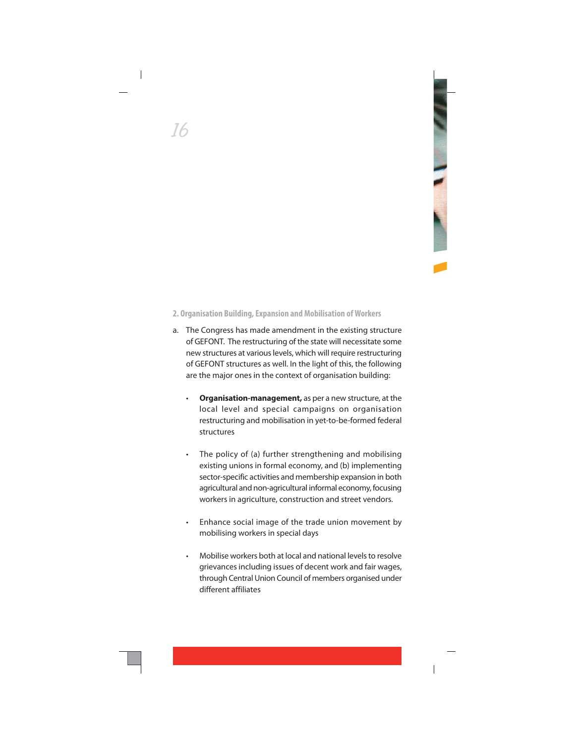## 2. Organisation Building, Expansion and Mobilisation of Workers

- a. The Congress has made amendment in the existing structure of GEFONT. The restructuring of the state will necessitate some new structures at various levels, which will require restructuring of GEFONT structures as well. In the light of this, the following are the major ones in the context of organisation building:
	- Organisation-management, as per a new structure, at the local level and special campaigns on organisation restructuring and mobilisation in yet-to-be-formed federal structures
	- The policy of (a) further strengthening and mobilising existing unions in formal economy, and (b) implementing sector-specific activities and membership expansion in both agricultural and non-agricultural informal economy, focusing workers in agriculture, construction and street vendors.
	- Enhance social image of the trade union movement by mobilising workers in special days
	- Mobilise workers both at local and national levels to resolve grievances including issues of decent work and fair wages, through Central Union Council of members organised under different affiliates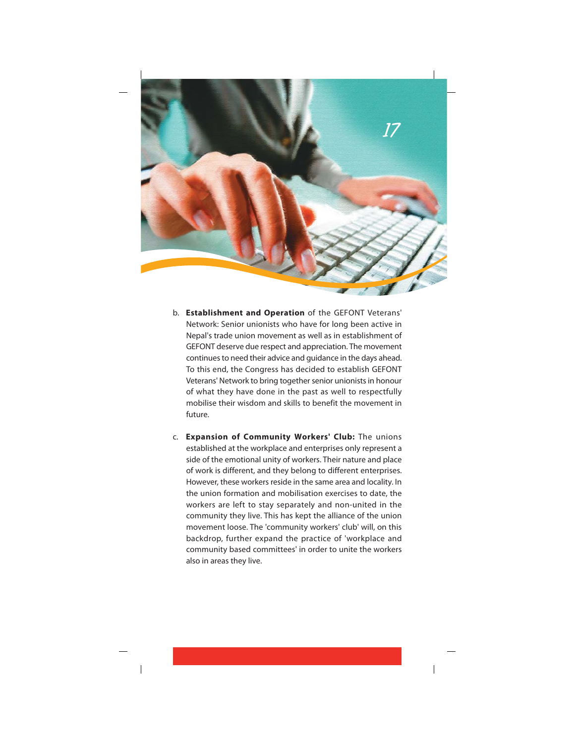

- b. Establishment and Operation of the GEFONT Veterans' Network: Senior unionists who have for long been active in Nepal's trade union movement as well as in establishment of GEFONT deserve due respect and appreciation. The movement continues to need their advice and guidance in the days ahead. To this end, the Congress has decided to establish GEFONT Veterans' Network to bring together senior unionists in honour of what they have done in the past as well to respectfully mobilise their wisdom and skills to benefit the movement in future.
- c. Expansion of Community Workers' Club: The unions established at the workplace and enterprises only represent a side of the emotional unity of workers. Their nature and place of work is different, and they belong to different enterprises. However, these workers reside in the same area and locality. In the union formation and mobilisation exercises to date, the workers are left to stay separately and non-united in the community they live. This has kept the alliance of the union movement loose. The 'community workers' club' will, on this backdrop, further expand the practice of 'workplace and community based committees' in order to unite the workers also in areas they live.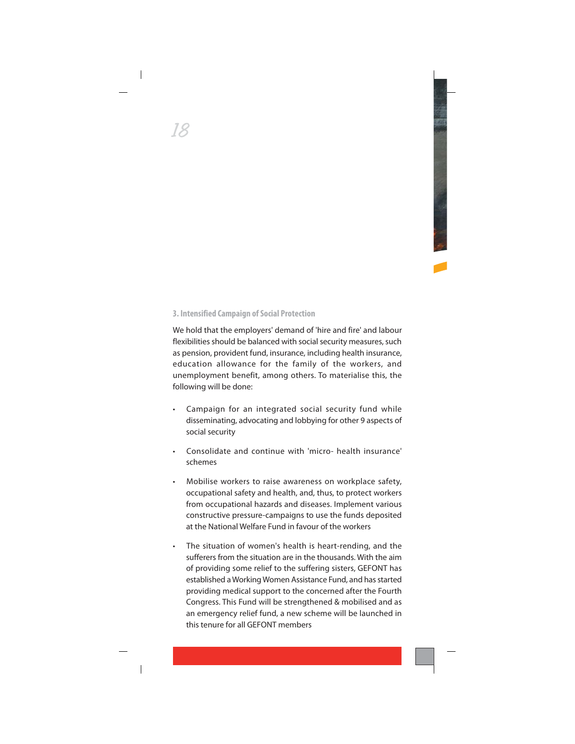#### 3. Intensified Campaign of Social Protection

We hold that the employers' demand of 'hire and fire' and labour flexibilities should be balanced with social security measures, such as pension, provident fund, insurance, including health insurance, education allowance for the family of the workers, and unemployment benefit, among others. To materialise this, the following will be done:

- Campaign for an integrated social security fund while disseminating, advocating and lobbying for other 9 aspects of social security
- Consolidate and continue with 'micro- health insurance' schemes
- Mobilise workers to raise awareness on workplace safety, occupational safety and health, and, thus, to protect workers from occupational hazards and diseases. Implement various constructive pressure-campaigns to use the funds deposited at the National Welfare Fund in favour of the workers
- The situation of women's health is heart-rending, and the sufferers from the situation are in the thousands. With the aim of providing some relief to the suffering sisters, GEFONT has established a Working Women Assistance Fund, and has started providing medical support to the concerned after the Fourth Congress. This Fund will be strengthened & mobilised and as an emergency relief fund, a new scheme will be launched in this tenure for all GFFONT members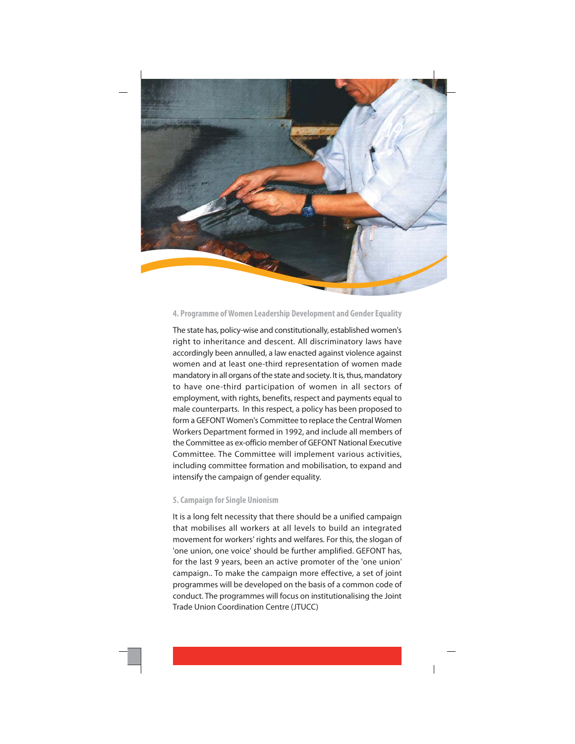

#### 4. Programme of Women Leadership Development and Gender Equality

The state has, policy-wise and constitutionally, established women's right to inheritance and descent. All discriminatory laws have accordingly been annulled, a law enacted against violence against women and at least one-third representation of women made mandatory in all organs of the state and society. It is, thus, mandatory to have one-third participation of women in all sectors of employment, with rights, benefits, respect and payments equal to male counterparts. In this respect, a policy has been proposed to form a GEFONT Women's Committee to replace the Central Women Workers Department formed in 1992, and include all members of the Committee as ex-officio member of GEFONT National Executive Committee. The Committee will implement various activities. including committee formation and mobilisation, to expand and intensify the campaign of gender equality.

#### 5. Campaign for Single Unionism

It is a long felt necessity that there should be a unified campaign that mobilises all workers at all levels to build an integrated movement for workers' rights and welfares. For this, the slogan of 'one union, one voice' should be further amplified. GEFONT has, for the last 9 years, been an active promoter of the 'one union' campaign.. To make the campaign more effective, a set of joint programmes will be developed on the basis of a common code of conduct. The programmes will focus on institutionalising the Joint Trade Union Coordination Centre (JTUCC)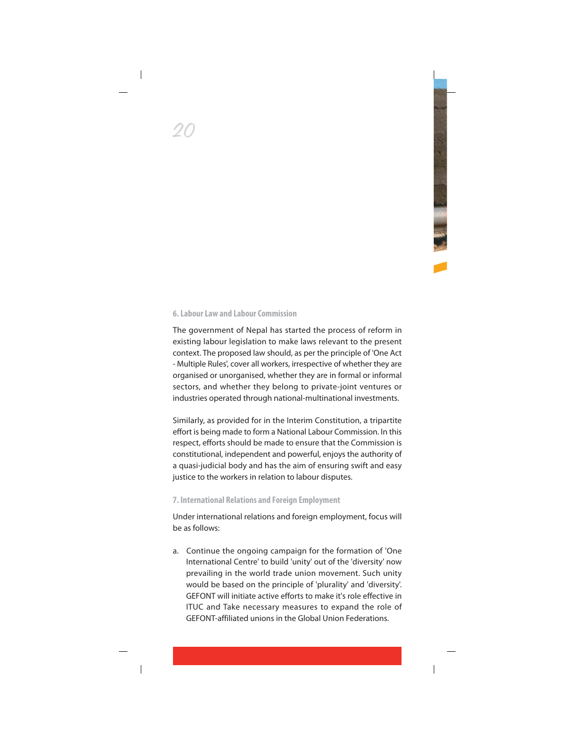#### 6. Labour Law and Labour Commission

The government of Nepal has started the process of reform in existing labour legislation to make laws relevant to the present context. The proposed law should, as per the principle of 'One Act - Multiple Rules', cover all workers, irrespective of whether they are organised or unorganised, whether they are in formal or informal sectors, and whether they belong to private-joint ventures or industries operated through national-multinational investments.

Similarly, as provided for in the Interim Constitution, a tripartite effort is being made to form a National Labour Commission. In this respect, efforts should be made to ensure that the Commission is constitutional, independent and powerful, enjoys the authority of a quasi-judicial body and has the aim of ensuring swift and easy justice to the workers in relation to labour disputes.

#### 7. International Relations and Foreign Employment

Under international relations and foreign employment, focus will he as follows:

a. Continue the ongoing campaign for the formation of 'One International Centre' to build 'unity' out of the 'diversity' now prevailing in the world trade union movement. Such unity would be based on the principle of 'plurality' and 'diversity'. GEFONT will initiate active efforts to make it's role effective in ITUC and Take necessary measures to expand the role of GEEONT-affiliated unions in the Global Union Federations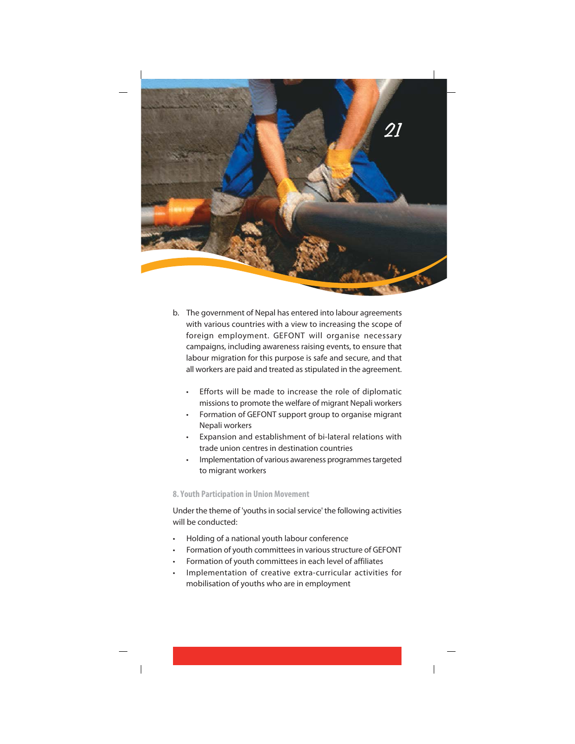

- b. The government of Nepal has entered into labour agreements with various countries with a view to increasing the scope of foreign employment. GEFONT will organise necessary campaigns, including awareness raising events, to ensure that labour migration for this purpose is safe and secure, and that all workers are paid and treated as stipulated in the agreement.
	- Efforts will be made to increase the role of diplomatic missions to promote the welfare of migrant Nepali workers
	- Formation of GEFONT support group to organise migrant Nepali workers
	- Expansion and establishment of bi-lateral relations with trade union centres in destination countries
	- Implementation of various awareness programmes targeted to migrant workers

#### 8. Youth Participation in Union Movement

Under the theme of 'youths in social service' the following activities will be conducted:

- Holding of a national youth labour conference
- Formation of youth committees in various structure of GEFONT
- Formation of youth committees in each level of affiliates
- Implementation of creative extra-curricular activities for mobilisation of youths who are in employment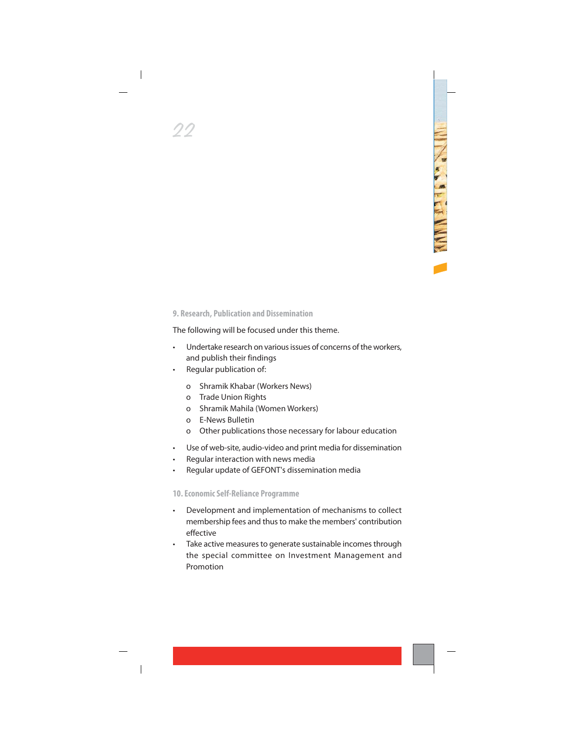#### 9. Research, Publication and Dissemination

The following will be focused under this theme.

- Undertake research on various issues of concerns of the workers. and publish their findings
- Regular publication of:
	- Shramik Khabar (Workers News)  $\Omega$
	- o Trade Union Rights
	- o Shramik Mahila (Women Workers)
	- **F-News Bulletin**  $\Omega$
	- Other publications those necessary for labour education  $\Omega$
- Use of web-site, audio-video and print media for dissemination  $\bullet$
- Regular interaction with news media
- Regular update of GEFONT's dissemination media  $\bullet$

#### 10. Economic Self-Reliance Programme

- Development and implementation of mechanisms to collect membership fees and thus to make the members' contribution effective
- Take active measures to generate sustainable incomes through the special committee on Investment Management and Promotion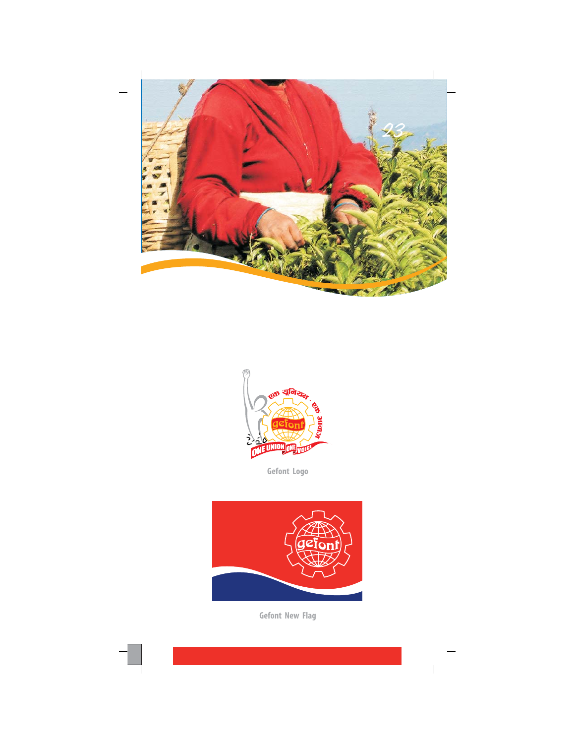



Gefont Logo



Gefont New Flag